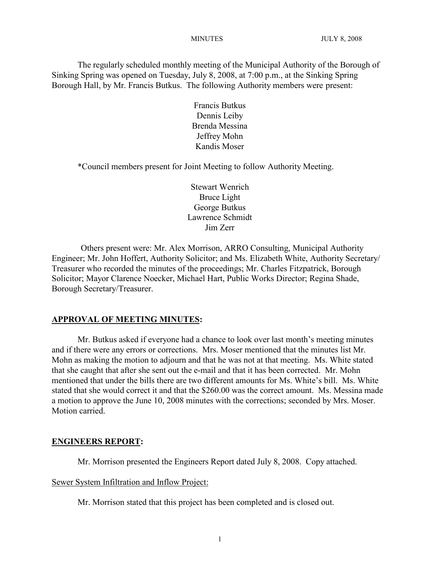The regularly scheduled monthly meeting of the Municipal Authority of the Borough of Sinking Spring was opened on Tuesday, July 8, 2008, at 7:00 p.m., at the Sinking Spring Borough Hall, by Mr. Francis Butkus. The following Authority members were present:

> Francis Butkus Dennis Leiby Brenda Messina Jeffrey Mohn Kandis Moser

\*Council members present for Joint Meeting to follow Authority Meeting.

Stewart Wenrich Bruce Light George Butkus Lawrence Schmidt Jim Zerr

Others present were: Mr. Alex Morrison, ARRO Consulting, Municipal Authority Engineer; Mr. John Hoffert, Authority Solicitor; and Ms. Elizabeth White, Authority Secretary/ Treasurer who recorded the minutes of the proceedings; Mr. Charles Fitzpatrick, Borough Solicitor; Mayor Clarence Noecker, Michael Hart, Public Works Director; Regina Shade, Borough Secretary/Treasurer.

## **APPROVAL OF MEETING MINUTES:**

Mr. Butkus asked if everyone had a chance to look over last month's meeting minutes and if there were any errors or corrections. Mrs. Moser mentioned that the minutes list Mr. Mohn as making the motion to adjourn and that he was not at that meeting. Ms. White stated that she caught that after she sent out the e-mail and that it has been corrected. Mr. Mohn mentioned that under the bills there are two different amounts for Ms. White's bill. Ms. White stated that she would correct it and that the \$260.00 was the correct amount. Ms. Messina made a motion to approve the June 10, 2008 minutes with the corrections; seconded by Mrs. Moser. Motion carried.

#### **ENGINEERS REPORT:**

Mr. Morrison presented the Engineers Report dated July 8, 2008. Copy attached.

Sewer System Infiltration and Inflow Project:

Mr. Morrison stated that this project has been completed and is closed out.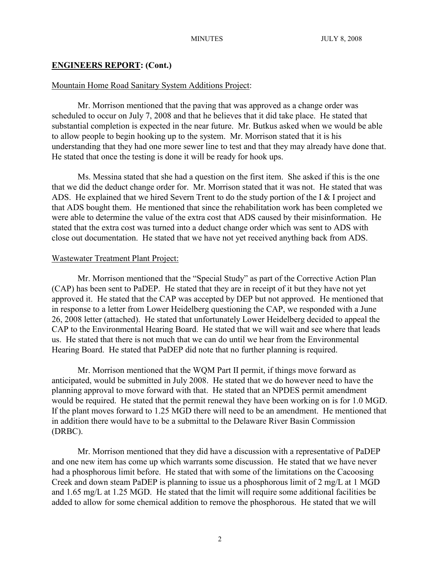#### Mountain Home Road Sanitary System Additions Project:

Mr. Morrison mentioned that the paving that was approved as a change order was scheduled to occur on July 7, 2008 and that he believes that it did take place. He stated that substantial completion is expected in the near future. Mr. Butkus asked when we would be able to allow people to begin hooking up to the system. Mr. Morrison stated that it is his understanding that they had one more sewer line to test and that they may already have done that. He stated that once the testing is done it will be ready for hook ups.

Ms. Messina stated that she had a question on the first item. She asked if this is the one that we did the deduct change order for. Mr. Morrison stated that it was not. He stated that was ADS. He explained that we hired Severn Trent to do the study portion of the I & I project and that ADS bought them. He mentioned that since the rehabilitation work has been completed we were able to determine the value of the extra cost that ADS caused by their misinformation. He stated that the extra cost was turned into a deduct change order which was sent to ADS with close out documentation. He stated that we have not yet received anything back from ADS.

#### Wastewater Treatment Plant Project:

Mr. Morrison mentioned that the "Special Study" as part of the Corrective Action Plan (CAP) has been sent to PaDEP. He stated that they are in receipt of it but they have not yet approved it. He stated that the CAP was accepted by DEP but not approved. He mentioned that in response to a letter from Lower Heidelberg questioning the CAP, we responded with a June 26, 2008 letter (attached). He stated that unfortunately Lower Heidelberg decided to appeal the CAP to the Environmental Hearing Board. He stated that we will wait and see where that leads us. He stated that there is not much that we can do until we hear from the Environmental Hearing Board. He stated that PaDEP did note that no further planning is required.

Mr. Morrison mentioned that the WQM Part II permit, if things move forward as anticipated, would be submitted in July 2008. He stated that we do however need to have the planning approval to move forward with that. He stated that an NPDES permit amendment would be required. He stated that the permit renewal they have been working on is for 1.0 MGD. If the plant moves forward to 1.25 MGD there will need to be an amendment. He mentioned that in addition there would have to be a submittal to the Delaware River Basin Commission (DRBC).

Mr. Morrison mentioned that they did have a discussion with a representative of PaDEP and one new item has come up which warrants some discussion. He stated that we have never had a phosphorous limit before. He stated that with some of the limitations on the Cacoosing Creek and down steam PaDEP is planning to issue us a phosphorous limit of 2 mg/L at 1 MGD and 1.65 mg/L at 1.25 MGD. He stated that the limit will require some additional facilities be added to allow for some chemical addition to remove the phosphorous. He stated that we will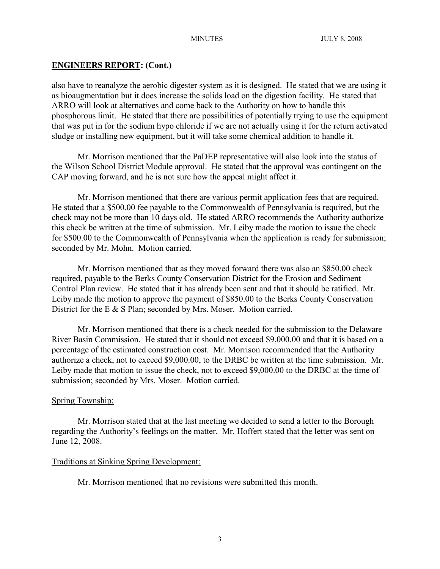also have to reanalyze the aerobic digester system as it is designed. He stated that we are using it as bioaugmentation but it does increase the solids load on the digestion facility. He stated that ARRO will look at alternatives and come back to the Authority on how to handle this phosphorous limit. He stated that there are possibilities of potentially trying to use the equipment that was put in for the sodium hypo chloride if we are not actually using it for the return activated sludge or installing new equipment, but it will take some chemical addition to handle it.

Mr. Morrison mentioned that the PaDEP representative will also look into the status of the Wilson School District Module approval. He stated that the approval was contingent on the CAP moving forward, and he is not sure how the appeal might affect it.

Mr. Morrison mentioned that there are various permit application fees that are required. He stated that a \$500.00 fee payable to the Commonwealth of Pennsylvania is required, but the check may not be more than 10 days old. He stated ARRO recommends the Authority authorize this check be written at the time of submission. Mr. Leiby made the motion to issue the check for \$500.00 to the Commonwealth of Pennsylvania when the application is ready for submission; seconded by Mr. Mohn. Motion carried.

Mr. Morrison mentioned that as they moved forward there was also an \$850.00 check required, payable to the Berks County Conservation District for the Erosion and Sediment Control Plan review. He stated that it has already been sent and that it should be ratified. Mr. Leiby made the motion to approve the payment of \$850.00 to the Berks County Conservation District for the E & S Plan; seconded by Mrs. Moser. Motion carried.

Mr. Morrison mentioned that there is a check needed for the submission to the Delaware River Basin Commission. He stated that it should not exceed \$9,000.00 and that it is based on a percentage of the estimated construction cost. Mr. Morrison recommended that the Authority authorize a check, not to exceed \$9,000.00, to the DRBC be written at the time submission. Mr. Leiby made that motion to issue the check, not to exceed \$9,000.00 to the DRBC at the time of submission; seconded by Mrs. Moser. Motion carried.

# Spring Township:

Mr. Morrison stated that at the last meeting we decided to send a letter to the Borough regarding the Authority's feelings on the matter. Mr. Hoffert stated that the letter was sent on June 12, 2008.

# Traditions at Sinking Spring Development:

Mr. Morrison mentioned that no revisions were submitted this month.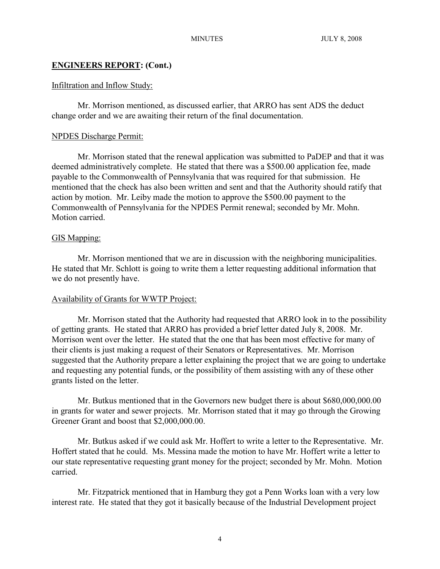## Infiltration and Inflow Study:

Mr. Morrison mentioned, as discussed earlier, that ARRO has sent ADS the deduct change order and we are awaiting their return of the final documentation.

## NPDES Discharge Permit:

Mr. Morrison stated that the renewal application was submitted to PaDEP and that it was deemed administratively complete. He stated that there was a \$500.00 application fee, made payable to the Commonwealth of Pennsylvania that was required for that submission. He mentioned that the check has also been written and sent and that the Authority should ratify that action by motion. Mr. Leiby made the motion to approve the \$500.00 payment to the Commonwealth of Pennsylvania for the NPDES Permit renewal; seconded by Mr. Mohn. Motion carried.

## GIS Mapping:

Mr. Morrison mentioned that we are in discussion with the neighboring municipalities. He stated that Mr. Schlott is going to write them a letter requesting additional information that we do not presently have.

# Availability of Grants for WWTP Project:

Mr. Morrison stated that the Authority had requested that ARRO look in to the possibility of getting grants. He stated that ARRO has provided a brief letter dated July 8, 2008. Mr. Morrison went over the letter. He stated that the one that has been most effective for many of their clients is just making a request of their Senators or Representatives. Mr. Morrison suggested that the Authority prepare a letter explaining the project that we are going to undertake and requesting any potential funds, or the possibility of them assisting with any of these other grants listed on the letter.

Mr. Butkus mentioned that in the Governors new budget there is about \$680,000,000.00 in grants for water and sewer projects. Mr. Morrison stated that it may go through the Growing Greener Grant and boost that \$2,000,000.00.

Mr. Butkus asked if we could ask Mr. Hoffert to write a letter to the Representative. Mr. Hoffert stated that he could. Ms. Messina made the motion to have Mr. Hoffert write a letter to our state representative requesting grant money for the project; seconded by Mr. Mohn. Motion carried.

Mr. Fitzpatrick mentioned that in Hamburg they got a Penn Works loan with a very low interest rate. He stated that they got it basically because of the Industrial Development project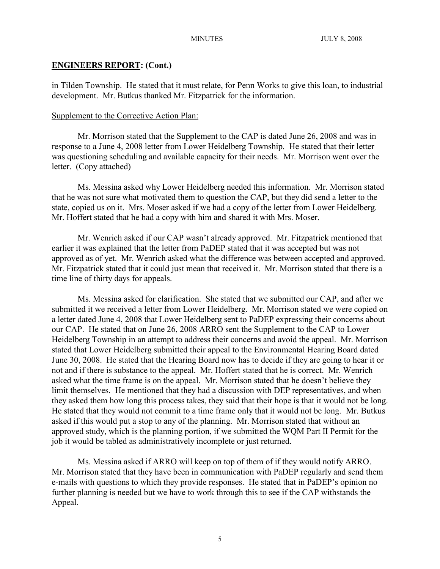in Tilden Township. He stated that it must relate, for Penn Works to give this loan, to industrial development. Mr. Butkus thanked Mr. Fitzpatrick for the information.

#### Supplement to the Corrective Action Plan:

Mr. Morrison stated that the Supplement to the CAP is dated June 26, 2008 and was in response to a June 4, 2008 letter from Lower Heidelberg Township. He stated that their letter was questioning scheduling and available capacity for their needs. Mr. Morrison went over the letter. (Copy attached)

Ms. Messina asked why Lower Heidelberg needed this information. Mr. Morrison stated that he was not sure what motivated them to question the CAP, but they did send a letter to the state, copied us on it. Mrs. Moser asked if we had a copy of the letter from Lower Heidelberg. Mr. Hoffert stated that he had a copy with him and shared it with Mrs. Moser.

Mr. Wenrich asked if our CAP wasn't already approved. Mr. Fitzpatrick mentioned that earlier it was explained that the letter from PaDEP stated that it was accepted but was not approved as of yet. Mr. Wenrich asked what the difference was between accepted and approved. Mr. Fitzpatrick stated that it could just mean that received it. Mr. Morrison stated that there is a time line of thirty days for appeals.

Ms. Messina asked for clarification. She stated that we submitted our CAP, and after we submitted it we received a letter from Lower Heidelberg. Mr. Morrison stated we were copied on a letter dated June 4, 2008 that Lower Heidelberg sent to PaDEP expressing their concerns about our CAP. He stated that on June 26, 2008 ARRO sent the Supplement to the CAP to Lower Heidelberg Township in an attempt to address their concerns and avoid the appeal. Mr. Morrison stated that Lower Heidelberg submitted their appeal to the Environmental Hearing Board dated June 30, 2008. He stated that the Hearing Board now has to decide if they are going to hear it or not and if there is substance to the appeal. Mr. Hoffert stated that he is correct. Mr. Wenrich asked what the time frame is on the appeal. Mr. Morrison stated that he doesn't believe they limit themselves. He mentioned that they had a discussion with DEP representatives, and when they asked them how long this process takes, they said that their hope is that it would not be long. He stated that they would not commit to a time frame only that it would not be long. Mr. Butkus asked if this would put a stop to any of the planning. Mr. Morrison stated that without an approved study, which is the planning portion, if we submitted the WQM Part II Permit for the job it would be tabled as administratively incomplete or just returned.

Ms. Messina asked if ARRO will keep on top of them of if they would notify ARRO. Mr. Morrison stated that they have been in communication with PaDEP regularly and send them e-mails with questions to which they provide responses. He stated that in PaDEP's opinion no further planning is needed but we have to work through this to see if the CAP withstands the Appeal.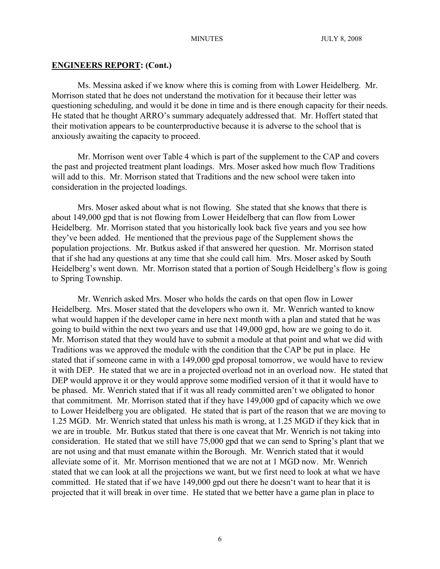Ms. Messina asked if we know where this is coming from with Lower Heidelberg. Mr. Morrison stated that he does not understand the motivation for it because their letter was questioning scheduling, and would it be done in time and is there enough capacity for their needs. He stated that he thought ARRO's summary adequately addressed that. Mr. Hoffert stated that their motivation appears to be counterproductive because it is adverse to the school that is anxiously awaiting the capacity to proceed.

Mr. Morrison went over Table 4 which is part of the supplement to the CAP and covers the past and projected treatment plant loadings. Mrs. Moser asked how much flow Traditions will add to this. Mr. Morrison stated that Traditions and the new school were taken into consideration in the projected loadings.

Mrs. Moser asked about what is not flowing. She stated that she knows that there is about 149,000 gpd that is not flowing from Lower Heidelberg that can flow from Lower Heidelberg. Mr. Morrison stated that you historically look back five years and you see how they've been added. He mentioned that the previous page of the Supplement shows the population projections. Mr. Butkus asked if that answered her question. Mr. Morrison stated that if she had any questions at any time that she could call him. Mrs. Moser asked by South Heidelberg's went down. Mr. Morrison stated that a portion of Sough Heidelberg's flow is going to Spring Township.

Mr. Wenrich asked Mrs. Moser who holds the cards on that open flow in Lower Heidelberg. Mrs. Moser stated that the developers who own it. Mr. Wenrich wanted to know what would happen if the developer came in here next month with a plan and stated that he was going to build within the next two years and use that 149,000 gpd, how are we going to do it. Mr. Morrison stated that they would have to submit a module at that point and what we did with Traditions was we approved the module with the condition that the CAP be put in place. He stated that if someone came in with a 149,000 gpd proposal tomorrow, we would have to review it with DEP. He stated that we are in a projected overload not in an overload now. He stated that DEP would approve it or they would approve some modified version of it that it would have to be phased. Mr. Wenrich stated that if it was all ready committed aren't we obligated to honor that commitment. Mr. Morrison stated that if they have 149,000 gpd of capacity which we owe to Lower Heidelberg you are obligated. He stated that is part of the reason that we are moving to 1.25 MGD. Mr. Wenrich stated that unless his math is wrong, at 1.25 MGD if they kick that in we are in trouble. Mr. Butkus stated that there is one caveat that Mr. Wenrich is not taking into consideration. He stated that we still have 75,000 gpd that we can send to Spring's plant that we are not using and that must emanate within the Borough. Mr. Wenrich stated that it would alleviate some of it. Mr. Morrison mentioned that we are not at 1 MGD now. Mr. Wenrich stated that we can look at all the projections we want, but we first need to look at what we have committed. He stated that if we have 149,000 gpd out there he doesn't want to hear that it is projected that it will break in over time. He stated that we better have a game plan in place to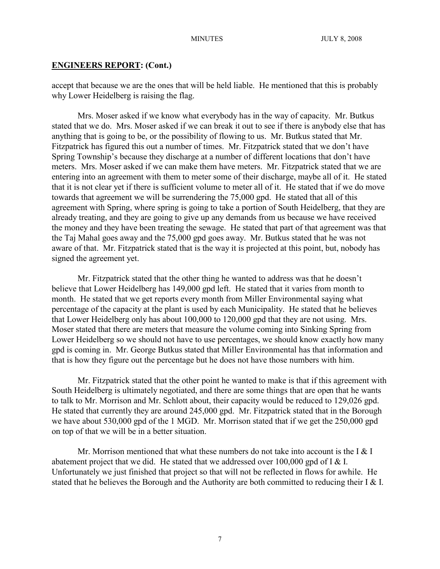accept that because we are the ones that will be held liable. He mentioned that this is probably why Lower Heidelberg is raising the flag.

Mrs. Moser asked if we know what everybody has in the way of capacity. Mr. Butkus stated that we do. Mrs. Moser asked if we can break it out to see if there is anybody else that has anything that is going to be, or the possibility of flowing to us. Mr. Butkus stated that Mr. Fitzpatrick has figured this out a number of times. Mr. Fitzpatrick stated that we don't have Spring Township's because they discharge at a number of different locations that don't have meters. Mrs. Moser asked if we can make them have meters. Mr. Fitzpatrick stated that we are entering into an agreement with them to meter some of their discharge, maybe all of it. He stated that it is not clear yet if there is sufficient volume to meter all of it. He stated that if we do move towards that agreement we will be surrendering the 75,000 gpd. He stated that all of this agreement with Spring, where spring is going to take a portion of South Heidelberg, that they are already treating, and they are going to give up any demands from us because we have received the money and they have been treating the sewage. He stated that part of that agreement was that the Taj Mahal goes away and the 75,000 gpd goes away. Mr. Butkus stated that he was not aware of that. Mr. Fitzpatrick stated that is the way it is projected at this point, but, nobody has signed the agreement yet.

Mr. Fitzpatrick stated that the other thing he wanted to address was that he doesn't believe that Lower Heidelberg has 149,000 gpd left. He stated that it varies from month to month. He stated that we get reports every month from Miller Environmental saying what percentage of the capacity at the plant is used by each Municipality. He stated that he believes that Lower Heidelberg only has about 100,000 to 120,000 gpd that they are not using. Mrs. Moser stated that there are meters that measure the volume coming into Sinking Spring from Lower Heidelberg so we should not have to use percentages, we should know exactly how many gpd is coming in. Mr. George Butkus stated that Miller Environmental has that information and that is how they figure out the percentage but he does not have those numbers with him.

Mr. Fitzpatrick stated that the other point he wanted to make is that if this agreement with South Heidelberg is ultimately negotiated, and there are some things that are open that he wants to talk to Mr. Morrison and Mr. Schlott about, their capacity would be reduced to 129,026 gpd. He stated that currently they are around 245,000 gpd. Mr. Fitzpatrick stated that in the Borough we have about 530,000 gpd of the 1 MGD. Mr. Morrison stated that if we get the 250,000 gpd on top of that we will be in a better situation.

Mr. Morrison mentioned that what these numbers do not take into account is the I  $\&$  I abatement project that we did. He stated that we addressed over 100,000 gpd of I & I. Unfortunately we just finished that project so that will not be reflected in flows for awhile. He stated that he believes the Borough and the Authority are both committed to reducing their I & I.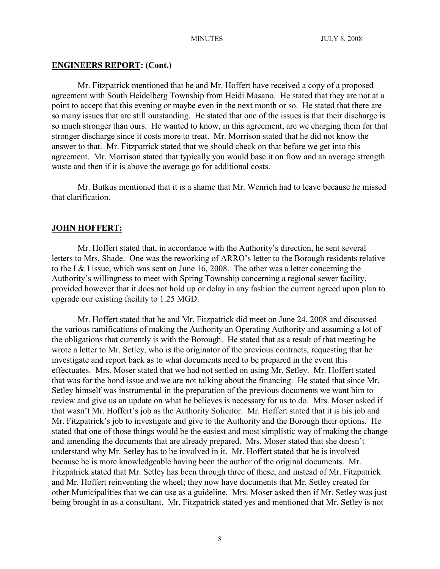Mr. Fitzpatrick mentioned that he and Mr. Hoffert have received a copy of a proposed agreement with South Heidelberg Township from Heidi Masano. He stated that they are not at a point to accept that this evening or maybe even in the next month or so. He stated that there are so many issues that are still outstanding. He stated that one of the issues is that their discharge is so much stronger than ours. He wanted to know, in this agreement, are we charging them for that stronger discharge since it costs more to treat. Mr. Morrison stated that he did not know the answer to that. Mr. Fitzpatrick stated that we should check on that before we get into this agreement. Mr. Morrison stated that typically you would base it on flow and an average strength waste and then if it is above the average go for additional costs.

Mr. Butkus mentioned that it is a shame that Mr. Wenrich had to leave because he missed that clarification.

#### **JOHN HOFFERT:**

Mr. Hoffert stated that, in accordance with the Authority's direction, he sent several letters to Mrs. Shade. One was the reworking of ARRO's letter to the Borough residents relative to the I & I issue, which was sent on June 16, 2008. The other was a letter concerning the Authority's willingness to meet with Spring Township concerning a regional sewer facility, provided however that it does not hold up or delay in any fashion the current agreed upon plan to upgrade our existing facility to 1.25 MGD.

Mr. Hoffert stated that he and Mr. Fitzpatrick did meet on June 24, 2008 and discussed the various ramifications of making the Authority an Operating Authority and assuming a lot of the obligations that currently is with the Borough. He stated that as a result of that meeting he wrote a letter to Mr. Setley, who is the originator of the previous contracts, requesting that he investigate and report back as to what documents need to be prepared in the event this effectuates. Mrs. Moser stated that we had not settled on using Mr. Setley. Mr. Hoffert stated that was for the bond issue and we are not talking about the financing. He stated that since Mr. Setley himself was instrumental in the preparation of the previous documents we want him to review and give us an update on what he believes is necessary for us to do. Mrs. Moser asked if that wasn't Mr. Hoffert's job as the Authority Solicitor. Mr. Hoffert stated that it is his job and Mr. Fitzpatrick's job to investigate and give to the Authority and the Borough their options. He stated that one of those things would be the easiest and most simplistic way of making the change and amending the documents that are already prepared. Mrs. Moser stated that she doesn't understand why Mr. Setley has to be involved in it. Mr. Hoffert stated that he is involved because he is more knowledgeable having been the author of the original documents. Mr. Fitzpatrick stated that Mr. Setley has been through three of these, and instead of Mr. Fitzpatrick and Mr. Hoffert reinventing the wheel; they now have documents that Mr. Setley created for other Municipalities that we can use as a guideline. Mrs. Moser asked then if Mr. Setley was just being brought in as a consultant. Mr. Fitzpatrick stated yes and mentioned that Mr. Setley is not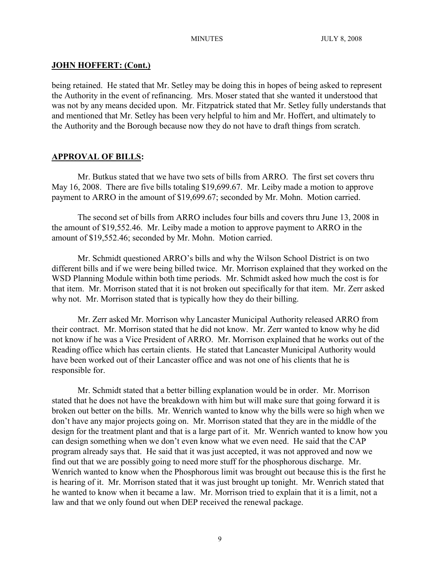## **JOHN HOFFERT: (Cont.)**

being retained. He stated that Mr. Setley may be doing this in hopes of being asked to represent the Authority in the event of refinancing. Mrs. Moser stated that she wanted it understood that was not by any means decided upon. Mr. Fitzpatrick stated that Mr. Setley fully understands that and mentioned that Mr. Setley has been very helpful to him and Mr. Hoffert, and ultimately to the Authority and the Borough because now they do not have to draft things from scratch.

# **APPROVAL OF BILLS:**

Mr. Butkus stated that we have two sets of bills from ARRO. The first set covers thru May 16, 2008. There are five bills totaling \$19,699.67. Mr. Leiby made a motion to approve payment to ARRO in the amount of \$19,699.67; seconded by Mr. Mohn. Motion carried.

The second set of bills from ARRO includes four bills and covers thru June 13, 2008 in the amount of \$19,552.46. Mr. Leiby made a motion to approve payment to ARRO in the amount of \$19,552.46; seconded by Mr. Mohn. Motion carried.

Mr. Schmidt questioned ARRO's bills and why the Wilson School District is on two different bills and if we were being billed twice. Mr. Morrison explained that they worked on the WSD Planning Module within both time periods. Mr. Schmidt asked how much the cost is for that item. Mr. Morrison stated that it is not broken out specifically for that item. Mr. Zerr asked why not. Mr. Morrison stated that is typically how they do their billing.

Mr. Zerr asked Mr. Morrison why Lancaster Municipal Authority released ARRO from their contract. Mr. Morrison stated that he did not know. Mr. Zerr wanted to know why he did not know if he was a Vice President of ARRO. Mr. Morrison explained that he works out of the Reading office which has certain clients. He stated that Lancaster Municipal Authority would have been worked out of their Lancaster office and was not one of his clients that he is responsible for.

Mr. Schmidt stated that a better billing explanation would be in order. Mr. Morrison stated that he does not have the breakdown with him but will make sure that going forward it is broken out better on the bills. Mr. Wenrich wanted to know why the bills were so high when we don't have any major projects going on. Mr. Morrison stated that they are in the middle of the design for the treatment plant and that is a large part of it. Mr. Wenrich wanted to know how you can design something when we don't even know what we even need. He said that the CAP program already says that. He said that it was just accepted, it was not approved and now we find out that we are possibly going to need more stuff for the phosphorous discharge. Mr. Wenrich wanted to know when the Phosphorous limit was brought out because this is the first he is hearing of it. Mr. Morrison stated that it was just brought up tonight. Mr. Wenrich stated that he wanted to know when it became a law. Mr. Morrison tried to explain that it is a limit, not a law and that we only found out when DEP received the renewal package.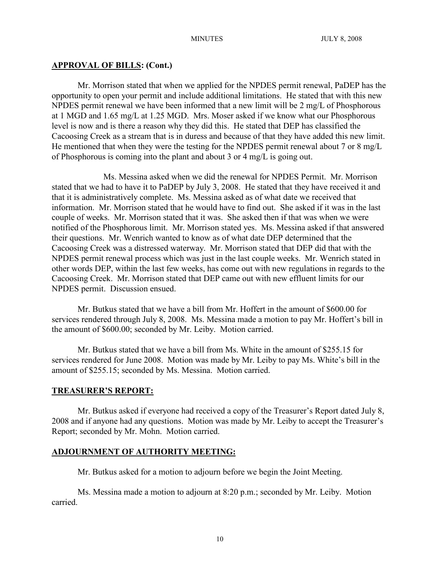### **APPROVAL OF BILLS: (Cont.)**

Mr. Morrison stated that when we applied for the NPDES permit renewal, PaDEP has the opportunity to open your permit and include additional limitations. He stated that with this new NPDES permit renewal we have been informed that a new limit will be 2 mg/L of Phosphorous at 1 MGD and 1.65 mg/L at 1.25 MGD. Mrs. Moser asked if we know what our Phosphorous level is now and is there a reason why they did this. He stated that DEP has classified the Cacoosing Creek as a stream that is in duress and because of that they have added this new limit. He mentioned that when they were the testing for the NPDES permit renewal about 7 or 8 mg/L of Phosphorous is coming into the plant and about 3 or 4 mg/L is going out.

Ms. Messina asked when we did the renewal for NPDES Permit. Mr. Morrison stated that we had to have it to PaDEP by July 3, 2008. He stated that they have received it and that it is administratively complete. Ms. Messina asked as of what date we received that information. Mr. Morrison stated that he would have to find out. She asked if it was in the last couple of weeks. Mr. Morrison stated that it was. She asked then if that was when we were notified of the Phosphorous limit. Mr. Morrison stated yes. Ms. Messina asked if that answered their questions. Mr. Wenrich wanted to know as of what date DEP determined that the Cacoosing Creek was a distressed waterway. Mr. Morrison stated that DEP did that with the NPDES permit renewal process which was just in the last couple weeks. Mr. Wenrich stated in other words DEP, within the last few weeks, has come out with new regulations in regards to the Cacoosing Creek. Mr. Morrison stated that DEP came out with new effluent limits for our NPDES permit. Discussion ensued.

Mr. Butkus stated that we have a bill from Mr. Hoffert in the amount of \$600.00 for services rendered through July 8, 2008. Ms. Messina made a motion to pay Mr. Hoffert's bill in the amount of \$600.00; seconded by Mr. Leiby. Motion carried.

Mr. Butkus stated that we have a bill from Ms. White in the amount of \$255.15 for services rendered for June 2008. Motion was made by Mr. Leiby to pay Ms. White's bill in the amount of \$255.15; seconded by Ms. Messina. Motion carried.

#### **TREASURER'S REPORT:**

Mr. Butkus asked if everyone had received a copy of the Treasurer's Report dated July 8, 2008 and if anyone had any questions. Motion was made by Mr. Leiby to accept the Treasurer's Report; seconded by Mr. Mohn. Motion carried.

#### **ADJOURNMENT OF AUTHORITY MEETING:**

Mr. Butkus asked for a motion to adjourn before we begin the Joint Meeting.

Ms. Messina made a motion to adjourn at 8:20 p.m.; seconded by Mr. Leiby. Motion carried.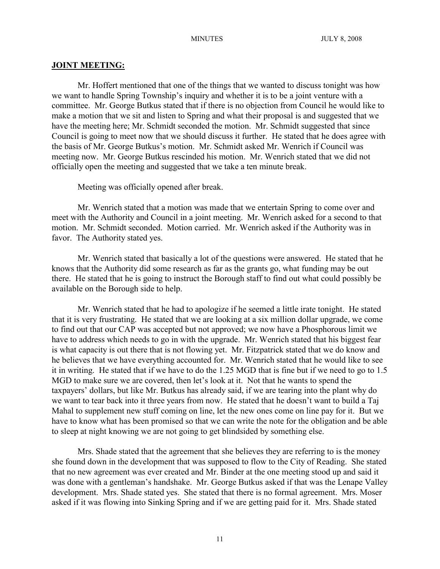### **JOINT MEETING:**

Mr. Hoffert mentioned that one of the things that we wanted to discuss tonight was how we want to handle Spring Township's inquiry and whether it is to be a joint venture with a committee. Mr. George Butkus stated that if there is no objection from Council he would like to make a motion that we sit and listen to Spring and what their proposal is and suggested that we have the meeting here; Mr. Schmidt seconded the motion. Mr. Schmidt suggested that since Council is going to meet now that we should discuss it further. He stated that he does agree with the basis of Mr. George Butkus's motion. Mr. Schmidt asked Mr. Wenrich if Council was meeting now. Mr. George Butkus rescinded his motion. Mr. Wenrich stated that we did not officially open the meeting and suggested that we take a ten minute break.

Meeting was officially opened after break.

Mr. Wenrich stated that a motion was made that we entertain Spring to come over and meet with the Authority and Council in a joint meeting. Mr. Wenrich asked for a second to that motion. Mr. Schmidt seconded. Motion carried. Mr. Wenrich asked if the Authority was in favor. The Authority stated yes.

Mr. Wenrich stated that basically a lot of the questions were answered. He stated that he knows that the Authority did some research as far as the grants go, what funding may be out there. He stated that he is going to instruct the Borough staff to find out what could possibly be available on the Borough side to help.

Mr. Wenrich stated that he had to apologize if he seemed a little irate tonight. He stated that it is very frustrating. He stated that we are looking at a six million dollar upgrade, we come to find out that our CAP was accepted but not approved; we now have a Phosphorous limit we have to address which needs to go in with the upgrade. Mr. Wenrich stated that his biggest fear is what capacity is out there that is not flowing yet. Mr. Fitzpatrick stated that we do know and he believes that we have everything accounted for. Mr. Wenrich stated that he would like to see it in writing. He stated that if we have to do the 1.25 MGD that is fine but if we need to go to 1.5 MGD to make sure we are covered, then let's look at it. Not that he wants to spend the taxpayers' dollars, but like Mr. Butkus has already said, if we are tearing into the plant why do we want to tear back into it three years from now. He stated that he doesn't want to build a Taj Mahal to supplement new stuff coming on line, let the new ones come on line pay for it. But we have to know what has been promised so that we can write the note for the obligation and be able to sleep at night knowing we are not going to get blindsided by something else.

Mrs. Shade stated that the agreement that she believes they are referring to is the money she found down in the development that was supposed to flow to the City of Reading. She stated that no new agreement was ever created and Mr. Binder at the one meeting stood up and said it was done with a gentleman's handshake. Mr. George Butkus asked if that was the Lenape Valley development. Mrs. Shade stated yes. She stated that there is no formal agreement. Mrs. Moser asked if it was flowing into Sinking Spring and if we are getting paid for it. Mrs. Shade stated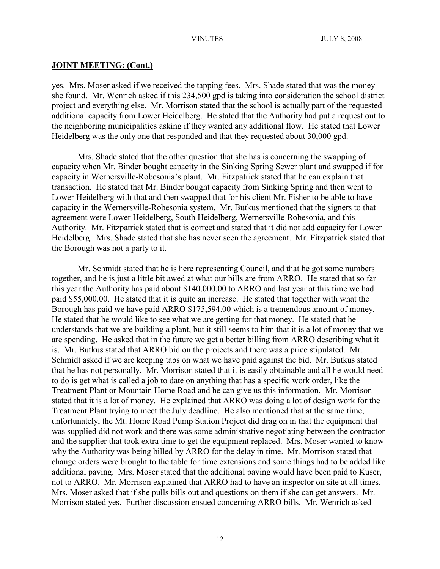yes. Mrs. Moser asked if we received the tapping fees. Mrs. Shade stated that was the money she found. Mr. Wenrich asked if this 234,500 gpd is taking into consideration the school district project and everything else. Mr. Morrison stated that the school is actually part of the requested additional capacity from Lower Heidelberg. He stated that the Authority had put a request out to the neighboring municipalities asking if they wanted any additional flow. He stated that Lower Heidelberg was the only one that responded and that they requested about 30,000 gpd.

Mrs. Shade stated that the other question that she has is concerning the swapping of capacity when Mr. Binder bought capacity in the Sinking Spring Sewer plant and swapped if for capacity in Wernersville-Robesonia's plant. Mr. Fitzpatrick stated that he can explain that transaction. He stated that Mr. Binder bought capacity from Sinking Spring and then went to Lower Heidelberg with that and then swapped that for his client Mr. Fisher to be able to have capacity in the Wernersville-Robesonia system. Mr. Butkus mentioned that the signers to that agreement were Lower Heidelberg, South Heidelberg, Wernersville-Robesonia, and this Authority. Mr. Fitzpatrick stated that is correct and stated that it did not add capacity for Lower Heidelberg. Mrs. Shade stated that she has never seen the agreement. Mr. Fitzpatrick stated that the Borough was not a party to it.

Mr. Schmidt stated that he is here representing Council, and that he got some numbers together, and he is just a little bit awed at what our bills are from ARRO. He stated that so far this year the Authority has paid about \$140,000.00 to ARRO and last year at this time we had paid \$55,000.00. He stated that it is quite an increase. He stated that together with what the Borough has paid we have paid ARRO \$175,594.00 which is a tremendous amount of money. He stated that he would like to see what we are getting for that money. He stated that he understands that we are building a plant, but it still seems to him that it is a lot of money that we are spending. He asked that in the future we get a better billing from ARRO describing what it is. Mr. Butkus stated that ARRO bid on the projects and there was a price stipulated. Mr. Schmidt asked if we are keeping tabs on what we have paid against the bid. Mr. Butkus stated that he has not personally. Mr. Morrison stated that it is easily obtainable and all he would need to do is get what is called a job to date on anything that has a specific work order, like the Treatment Plant or Mountain Home Road and he can give us this information. Mr. Morrison stated that it is a lot of money. He explained that ARRO was doing a lot of design work for the Treatment Plant trying to meet the July deadline. He also mentioned that at the same time, unfortunately, the Mt. Home Road Pump Station Project did drag on in that the equipment that was supplied did not work and there was some administrative negotiating between the contractor and the supplier that took extra time to get the equipment replaced. Mrs. Moser wanted to know why the Authority was being billed by ARRO for the delay in time. Mr. Morrison stated that change orders were brought to the table for time extensions and some things had to be added like additional paving. Mrs. Moser stated that the additional paving would have been paid to Kuser, not to ARRO. Mr. Morrison explained that ARRO had to have an inspector on site at all times. Mrs. Moser asked that if she pulls bills out and questions on them if she can get answers. Mr. Morrison stated yes. Further discussion ensued concerning ARRO bills. Mr. Wenrich asked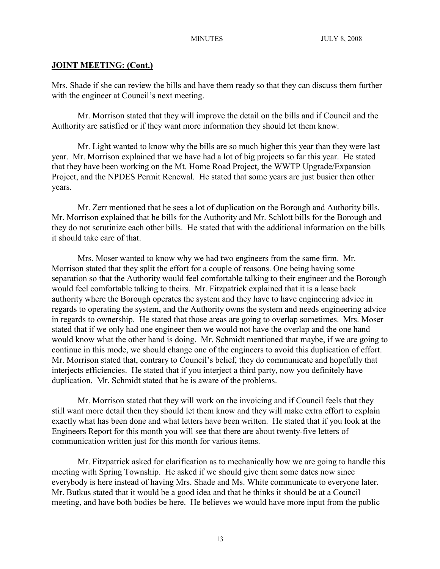Mrs. Shade if she can review the bills and have them ready so that they can discuss them further with the engineer at Council's next meeting.

Mr. Morrison stated that they will improve the detail on the bills and if Council and the Authority are satisfied or if they want more information they should let them know.

Mr. Light wanted to know why the bills are so much higher this year than they were last year. Mr. Morrison explained that we have had a lot of big projects so far this year. He stated that they have been working on the Mt. Home Road Project, the WWTP Upgrade/Expansion Project, and the NPDES Permit Renewal. He stated that some years are just busier then other years.

Mr. Zerr mentioned that he sees a lot of duplication on the Borough and Authority bills. Mr. Morrison explained that he bills for the Authority and Mr. Schlott bills for the Borough and they do not scrutinize each other bills. He stated that with the additional information on the bills it should take care of that.

Mrs. Moser wanted to know why we had two engineers from the same firm. Mr. Morrison stated that they split the effort for a couple of reasons. One being having some separation so that the Authority would feel comfortable talking to their engineer and the Borough would feel comfortable talking to theirs. Mr. Fitzpatrick explained that it is a lease back authority where the Borough operates the system and they have to have engineering advice in regards to operating the system, and the Authority owns the system and needs engineering advice in regards to ownership. He stated that those areas are going to overlap sometimes. Mrs. Moser stated that if we only had one engineer then we would not have the overlap and the one hand would know what the other hand is doing. Mr. Schmidt mentioned that maybe, if we are going to continue in this mode, we should change one of the engineers to avoid this duplication of effort. Mr. Morrison stated that, contrary to Council's belief, they do communicate and hopefully that interjects efficiencies. He stated that if you interject a third party, now you definitely have duplication. Mr. Schmidt stated that he is aware of the problems.

Mr. Morrison stated that they will work on the invoicing and if Council feels that they still want more detail then they should let them know and they will make extra effort to explain exactly what has been done and what letters have been written. He stated that if you look at the Engineers Report for this month you will see that there are about twenty-five letters of communication written just for this month for various items.

Mr. Fitzpatrick asked for clarification as to mechanically how we are going to handle this meeting with Spring Township. He asked if we should give them some dates now since everybody is here instead of having Mrs. Shade and Ms. White communicate to everyone later. Mr. Butkus stated that it would be a good idea and that he thinks it should be at a Council meeting, and have both bodies be here. He believes we would have more input from the public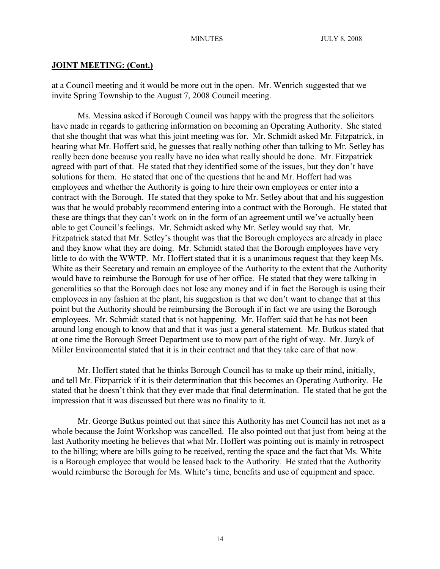at a Council meeting and it would be more out in the open. Mr. Wenrich suggested that we invite Spring Township to the August 7, 2008 Council meeting.

Ms. Messina asked if Borough Council was happy with the progress that the solicitors have made in regards to gathering information on becoming an Operating Authority. She stated that she thought that was what this joint meeting was for. Mr. Schmidt asked Mr. Fitzpatrick, in hearing what Mr. Hoffert said, he guesses that really nothing other than talking to Mr. Setley has really been done because you really have no idea what really should be done. Mr. Fitzpatrick agreed with part of that. He stated that they identified some of the issues, but they don't have solutions for them. He stated that one of the questions that he and Mr. Hoffert had was employees and whether the Authority is going to hire their own employees or enter into a contract with the Borough. He stated that they spoke to Mr. Setley about that and his suggestion was that he would probably recommend entering into a contract with the Borough. He stated that these are things that they can't work on in the form of an agreement until we've actually been able to get Council's feelings. Mr. Schmidt asked why Mr. Setley would say that. Mr. Fitzpatrick stated that Mr. Setley's thought was that the Borough employees are already in place and they know what they are doing. Mr. Schmidt stated that the Borough employees have very little to do with the WWTP. Mr. Hoffert stated that it is a unanimous request that they keep Ms. White as their Secretary and remain an employee of the Authority to the extent that the Authority would have to reimburse the Borough for use of her office. He stated that they were talking in generalities so that the Borough does not lose any money and if in fact the Borough is using their employees in any fashion at the plant, his suggestion is that we don't want to change that at this point but the Authority should be reimbursing the Borough if in fact we are using the Borough employees. Mr. Schmidt stated that is not happening. Mr. Hoffert said that he has not been around long enough to know that and that it was just a general statement. Mr. Butkus stated that at one time the Borough Street Department use to mow part of the right of way. Mr. Juzyk of Miller Environmental stated that it is in their contract and that they take care of that now.

Mr. Hoffert stated that he thinks Borough Council has to make up their mind, initially, and tell Mr. Fitzpatrick if it is their determination that this becomes an Operating Authority. He stated that he doesn't think that they ever made that final determination. He stated that he got the impression that it was discussed but there was no finality to it.

Mr. George Butkus pointed out that since this Authority has met Council has not met as a whole because the Joint Workshop was cancelled. He also pointed out that just from being at the last Authority meeting he believes that what Mr. Hoffert was pointing out is mainly in retrospect to the billing; where are bills going to be received, renting the space and the fact that Ms. White is a Borough employee that would be leased back to the Authority. He stated that the Authority would reimburse the Borough for Ms. White's time, benefits and use of equipment and space.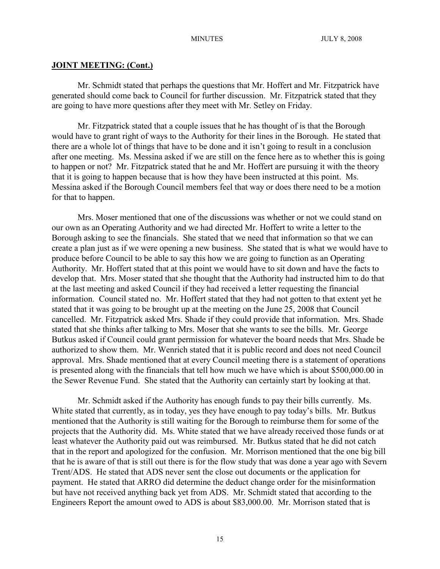Mr. Schmidt stated that perhaps the questions that Mr. Hoffert and Mr. Fitzpatrick have generated should come back to Council for further discussion. Mr. Fitzpatrick stated that they are going to have more questions after they meet with Mr. Setley on Friday.

Mr. Fitzpatrick stated that a couple issues that he has thought of is that the Borough would have to grant right of ways to the Authority for their lines in the Borough. He stated that there are a whole lot of things that have to be done and it isn't going to result in a conclusion after one meeting. Ms. Messina asked if we are still on the fence here as to whether this is going to happen or not? Mr. Fitzpatrick stated that he and Mr. Hoffert are pursuing it with the theory that it is going to happen because that is how they have been instructed at this point. Ms. Messina asked if the Borough Council members feel that way or does there need to be a motion for that to happen.

Mrs. Moser mentioned that one of the discussions was whether or not we could stand on our own as an Operating Authority and we had directed Mr. Hoffert to write a letter to the Borough asking to see the financials. She stated that we need that information so that we can create a plan just as if we were opening a new business. She stated that is what we would have to produce before Council to be able to say this how we are going to function as an Operating Authority. Mr. Hoffert stated that at this point we would have to sit down and have the facts to develop that. Mrs. Moser stated that she thought that the Authority had instructed him to do that at the last meeting and asked Council if they had received a letter requesting the financial information. Council stated no. Mr. Hoffert stated that they had not gotten to that extent yet he stated that it was going to be brought up at the meeting on the June 25, 2008 that Council cancelled. Mr. Fitzpatrick asked Mrs. Shade if they could provide that information. Mrs. Shade stated that she thinks after talking to Mrs. Moser that she wants to see the bills. Mr. George Butkus asked if Council could grant permission for whatever the board needs that Mrs. Shade be authorized to show them. Mr. Wenrich stated that it is public record and does not need Council approval. Mrs. Shade mentioned that at every Council meeting there is a statement of operations is presented along with the financials that tell how much we have which is about \$500,000.00 in the Sewer Revenue Fund. She stated that the Authority can certainly start by looking at that.

Mr. Schmidt asked if the Authority has enough funds to pay their bills currently. Ms. White stated that currently, as in today, yes they have enough to pay today's bills. Mr. Butkus mentioned that the Authority is still waiting for the Borough to reimburse them for some of the projects that the Authority did. Ms. White stated that we have already received those funds or at least whatever the Authority paid out was reimbursed. Mr. Butkus stated that he did not catch that in the report and apologized for the confusion. Mr. Morrison mentioned that the one big bill that he is aware of that is still out there is for the flow study that was done a year ago with Severn Trent/ADS. He stated that ADS never sent the close out documents or the application for payment. He stated that ARRO did determine the deduct change order for the misinformation but have not received anything back yet from ADS. Mr. Schmidt stated that according to the Engineers Report the amount owed to ADS is about \$83,000.00. Mr. Morrison stated that is